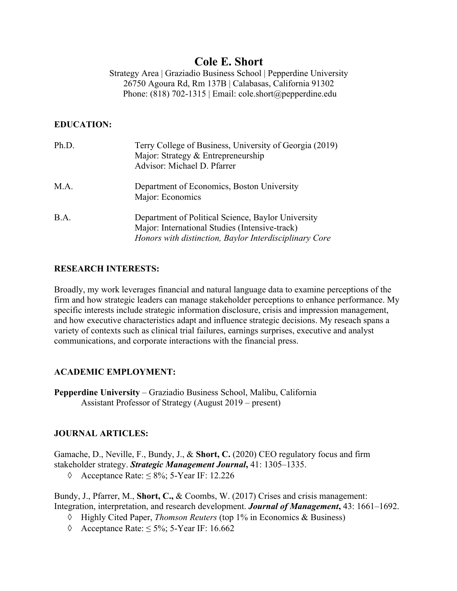# **Cole E. Short**

Strategy Area | Graziadio Business School | Pepperdine University 26750 Agoura Rd, Rm 137B | Calabasas, California 91302 Phone: (818) 702-1315 | Email: cole.short@pepperdine.edu

# **EDUCATION:**

| Ph.D. | Terry College of Business, University of Georgia (2019)<br>Major: Strategy & Entrepreneurship<br>Advisor: Michael D. Pfarrer                                   |
|-------|----------------------------------------------------------------------------------------------------------------------------------------------------------------|
| M.A.  | Department of Economics, Boston University<br>Major: Economics                                                                                                 |
| B.A.  | Department of Political Science, Baylor University<br>Major: International Studies (Intensive-track)<br>Honors with distinction, Baylor Interdisciplinary Core |

# **RESEARCH INTERESTS:**

Broadly, my work leverages financial and natural language data to examine perceptions of the firm and how strategic leaders can manage stakeholder perceptions to enhance performance. My specific interests include strategic information disclosure, crisis and impression management, and how executive characteristics adapt and influence strategic decisions. My reseach spans a variety of contexts such as clinical trial failures, earnings surprises, executive and analyst communications, and corporate interactions with the financial press.

# **ACADEMIC EMPLOYMENT:**

**Pepperdine University** – Graziadio Business School, Malibu, California Assistant Professor of Strategy (August 2019 – present)

# **JOURNAL ARTICLES:**

Gamache, D., Neville, F., Bundy, J., & **Short, C.** (2020) CEO regulatory focus and firm stakeholder strategy. *Strategic Management Journal***,** 41: 1305–1335.

à Acceptance Rate: ≤ 8%; 5-Year IF: 12.226

Bundy, J., Pfarrer, M., **Short, C.,** & Coombs, W. (2017) Crises and crisis management: Integration, interpretation, and research development. *Journal of Management***,** 43: 1661–1692.

- à Highly Cited Paper, *Thomson Reuters* (top 1% in Economics & Business)
- $\Diamond$  Acceptance Rate:  $\leq$  5%; 5-Year IF: 16.662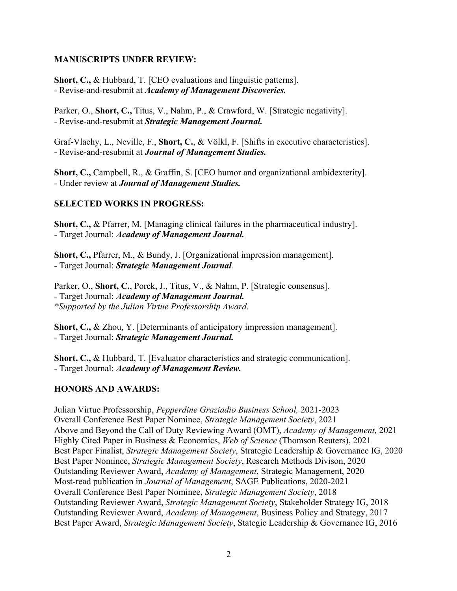### **MANUSCRIPTS UNDER REVIEW:**

**Short, C.,** & Hubbard, T. [CEO evaluations and linguistic patterns]. - Revise-and-resubmit at *Academy of Management Discoveries.*

Parker, O., **Short, C.,** Titus, V., Nahm, P., & Crawford, W. [Strategic negativity]. - Revise-and-resubmit at *Strategic Management Journal.*

Graf-Vlachy, L., Neville, F., **Short, C.**, & Völkl, F. [Shifts in executive characteristics]. - Revise-and-resubmit at *Journal of Management Studies.*

**Short, C.,** Campbell, R., & Graffin, S. [CEO humor and organizational ambidexterity]. - Under review at *Journal of Management Studies.*

# **SELECTED WORKS IN PROGRESS:**

**Short, C.,** & Pfarrer, M. [Managing clinical failures in the pharmaceutical industry]. - Target Journal: *Academy of Management Journal.*

**Short, C.,** Pfarrer, M., & Bundy, J. [Organizational impression management]. - Target Journal: *Strategic Management Journal.*

Parker, O., **Short, C.**, Porck, J., Titus, V., & Nahm, P. [Strategic consensus]. - Target Journal: *Academy of Management Journal. \*Supported by the Julian Virtue Professorship Award.*

**Short, C.,** & Zhou, Y. [Determinants of anticipatory impression management]. - Target Journal: *Strategic Management Journal.*

**Short, C.,** & Hubbard, T. [Evaluator characteristics and strategic communication]. - Target Journal: *Academy of Management Review.*

# **HONORS AND AWARDS:**

Julian Virtue Professorship, *Pepperdine Graziadio Business School,* 2021-2023 Overall Conference Best Paper Nominee, *Strategic Management Society*, 2021 Above and Beyond the Call of Duty Reviewing Award (OMT), *Academy of Management,* 2021 Highly Cited Paper in Business & Economics, *Web of Science* (Thomson Reuters), 2021 Best Paper Finalist, *Strategic Management Society*, Strategic Leadership & Governance IG, 2020 Best Paper Nominee, *Strategic Management Society*, Research Methods Divison, 2020 Outstanding Reviewer Award, *Academy of Management*, Strategic Management, 2020 Most-read publication in *Journal of Management*, SAGE Publications, 2020-2021 Overall Conference Best Paper Nominee, *Strategic Management Society*, 2018 Outstanding Reviewer Award, *Strategic Management Society*, Stakeholder Strategy IG, 2018 Outstanding Reviewer Award, *Academy of Management*, Business Policy and Strategy, 2017 Best Paper Award, *Strategic Management Society*, Stategic Leadership & Governance IG, 2016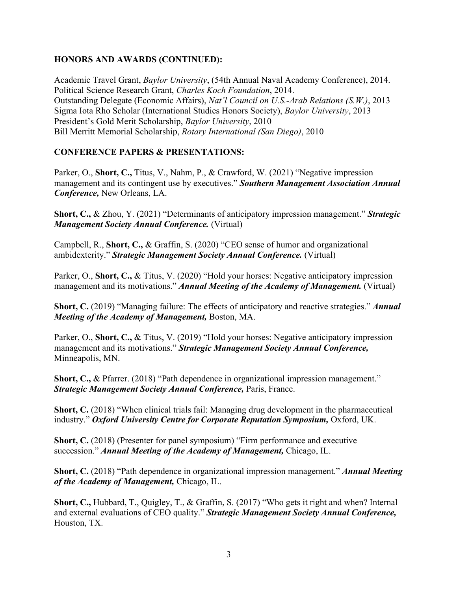### **HONORS AND AWARDS (CONTINUED):**

Academic Travel Grant, *Baylor University*, (54th Annual Naval Academy Conference), 2014. Political Science Research Grant, *Charles Koch Foundation*, 2014. Outstanding Delegate (Economic Affairs), *Nat'l Council on U.S.-Arab Relations (S.W.)*, 2013 Sigma Iota Rho Scholar (International Studies Honors Society), *Baylor University*, 2013 President's Gold Merit Scholarship, *Baylor University*, 2010 Bill Merritt Memorial Scholarship, *Rotary International (San Diego)*, 2010

# **CONFERENCE PAPERS & PRESENTATIONS:**

Parker, O., **Short, C.,** Titus, V., Nahm, P., & Crawford, W. (2021) "Negative impression management and its contingent use by executives." *Southern Management Association Annual Conference,* New Orleans, LA.

**Short, C.,** & Zhou, Y. (2021) "Determinants of anticipatory impression management." *Strategic Management Society Annual Conference.* (Virtual)

Campbell, R., **Short, C.,** & Graffin, S. (2020) "CEO sense of humor and organizational ambidexterity." *Strategic Management Society Annual Conference.* (Virtual)

Parker, O., **Short, C.,** & Titus, V. (2020) "Hold your horses: Negative anticipatory impression management and its motivations." *Annual Meeting of the Academy of Management.* (Virtual)

**Short, C.** (2019) "Managing failure: The effects of anticipatory and reactive strategies." *Annual Meeting of the Academy of Management,* Boston, MA.

Parker, O., **Short, C.,** & Titus, V. (2019) "Hold your horses: Negative anticipatory impression management and its motivations." *Strategic Management Society Annual Conference,* Minneapolis, MN.

**Short, C.,** & Pfarrer. (2018) "Path dependence in organizational impression management." *Strategic Management Society Annual Conference,* Paris, France.

**Short, C.** (2018) "When clinical trials fail: Managing drug development in the pharmaceutical industry." *Oxford University Centre for Corporate Reputation Symposium,* Oxford, UK.

**Short, C.** (2018) (Presenter for panel symposium) "Firm performance and executive succession." *Annual Meeting of the Academy of Management,* Chicago, IL.

**Short, C.** (2018) "Path dependence in organizational impression management." *Annual Meeting of the Academy of Management,* Chicago, IL.

**Short, C.,** Hubbard, T., Quigley, T., & Graffin, S. (2017) "Who gets it right and when? Internal and external evaluations of CEO quality." *Strategic Management Society Annual Conference,* Houston, TX.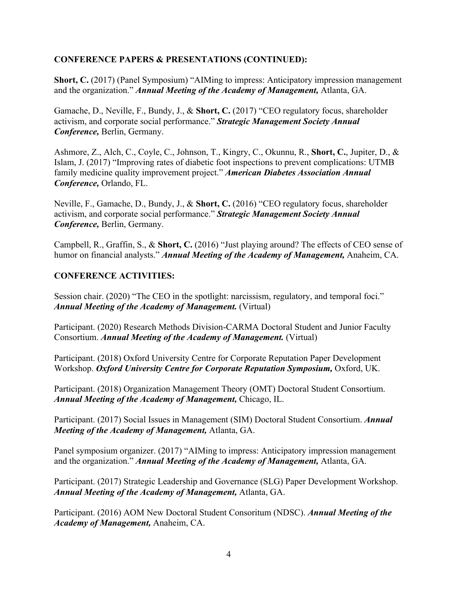### **CONFERENCE PAPERS & PRESENTATIONS (CONTINUED):**

**Short, C.** (2017) (Panel Symposium) "AIMing to impress: Anticipatory impression management and the organization." *Annual Meeting of the Academy of Management,* Atlanta, GA.

Gamache, D., Neville, F., Bundy, J., & **Short, C.** (2017) "CEO regulatory focus, shareholder activism, and corporate social performance." *Strategic Management Society Annual Conference,* Berlin, Germany.

Ashmore, Z., Alch, C., Coyle, C., Johnson, T., Kingry, C., Okunnu, R., **Short, C.**, Jupiter, D., & Islam, J. (2017) "Improving rates of diabetic foot inspections to prevent complications: UTMB family medicine quality improvement project." *American Diabetes Association Annual Conference,* Orlando, FL.

Neville, F., Gamache, D., Bundy, J., & **Short, C.** (2016) "CEO regulatory focus, shareholder activism, and corporate social performance." *Strategic Management Society Annual Conference,* Berlin, Germany.

Campbell, R., Graffin, S., & **Short, C.** (2016) "Just playing around? The effects of CEO sense of humor on financial analysts." *Annual Meeting of the Academy of Management,* Anaheim, CA.

### **CONFERENCE ACTIVITIES:**

Session chair. (2020) "The CEO in the spotlight: narcissism, regulatory, and temporal foci." *Annual Meeting of the Academy of Management.* (Virtual)

Participant. (2020) Research Methods Division-CARMA Doctoral Student and Junior Faculty Consortium. *Annual Meeting of the Academy of Management.* (Virtual)

Participant. (2018) Oxford University Centre for Corporate Reputation Paper Development Workshop. *Oxford University Centre for Corporate Reputation Symposium,* Oxford, UK.

Participant. (2018) Organization Management Theory (OMT) Doctoral Student Consortium. *Annual Meeting of the Academy of Management,* Chicago, IL.

Participant. (2017) Social Issues in Management (SIM) Doctoral Student Consortium. *Annual Meeting of the Academy of Management,* Atlanta, GA.

Panel symposium organizer. (2017) "AIMing to impress: Anticipatory impression management and the organization." *Annual Meeting of the Academy of Management,* Atlanta, GA.

Participant. (2017) Strategic Leadership and Governance (SLG) Paper Development Workshop. *Annual Meeting of the Academy of Management,* Atlanta, GA.

Participant. (2016) AOM New Doctoral Student Consoritum (NDSC). *Annual Meeting of the Academy of Management,* Anaheim, CA.